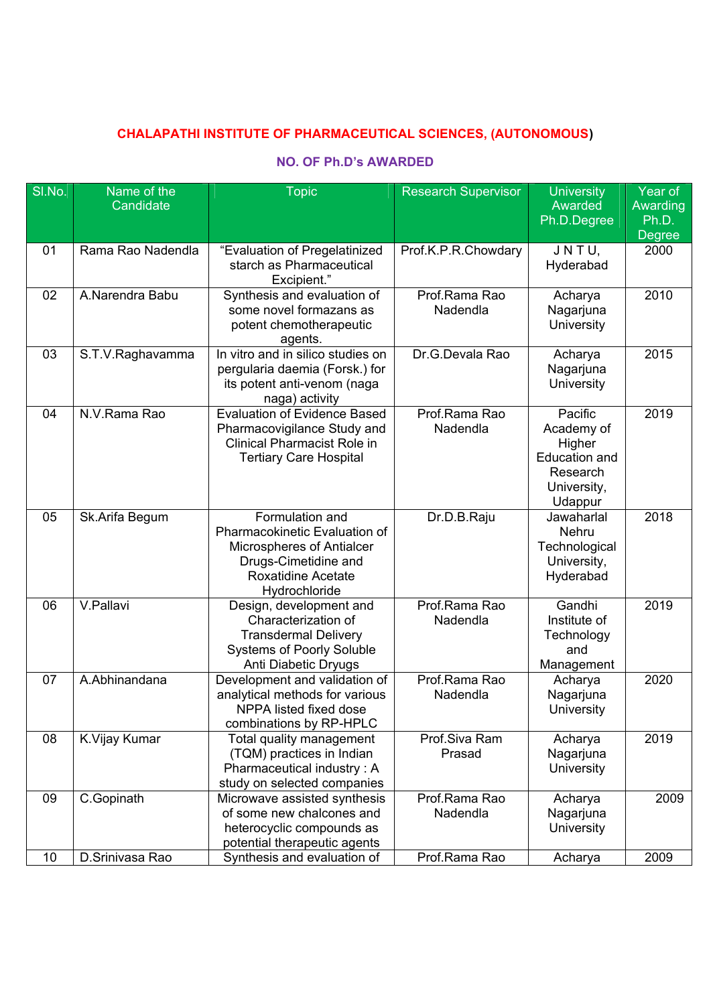## **CHALAPATHI INSTITUTE OF PHARMACEUTICAL SCIENCES, (AUTONOMOUS)**

## **NO. OF Ph.D's AWARDED**

| SI.No. | Name of the       | <b>Topic</b>                                             | <b>Research Supervisor</b> | <b>University</b>       | Year of           |
|--------|-------------------|----------------------------------------------------------|----------------------------|-------------------------|-------------------|
|        | Candidate         |                                                          |                            | Awarded                 | Awarding<br>Ph.D. |
|        |                   |                                                          |                            | Ph.D.Degree             | <b>Degree</b>     |
| 01     | Rama Rao Nadendla | "Evaluation of Pregelatinized                            | Prof.K.P.R.Chowdary        | JNTU,                   | 2000              |
|        |                   | starch as Pharmaceutical                                 |                            | Hyderabad               |                   |
|        |                   | Excipient."                                              |                            |                         |                   |
| 02     | A.Narendra Babu   | Synthesis and evaluation of                              | Prof.Rama Rao              | Acharya                 | 2010              |
|        |                   | some novel formazans as                                  | Nadendla                   | Nagarjuna               |                   |
|        |                   | potent chemotherapeutic                                  |                            | University              |                   |
| 03     |                   | agents.<br>In vitro and in silico studies on             | Dr.G.Devala Rao            |                         | 2015              |
|        | S.T.V.Raghavamma  | pergularia daemia (Forsk.) for                           |                            | Acharya<br>Nagarjuna    |                   |
|        |                   | its potent anti-venom (naga                              |                            | University              |                   |
|        |                   | naga) activity                                           |                            |                         |                   |
| 04     | N.V.Rama Rao      | <b>Evaluation of Evidence Based</b>                      | Prof.Rama Rao              | Pacific                 | 2019              |
|        |                   | Pharmacovigilance Study and                              | Nadendla                   | Academy of              |                   |
|        |                   | <b>Clinical Pharmacist Role in</b>                       |                            | Higher                  |                   |
|        |                   | <b>Tertiary Care Hospital</b>                            |                            | <b>Education and</b>    |                   |
|        |                   |                                                          |                            | Research                |                   |
|        |                   |                                                          |                            | University,             |                   |
|        |                   |                                                          |                            | Udappur                 |                   |
| 05     | Sk.Arifa Begum    | Formulation and<br>Pharmacokinetic Evaluation of         | Dr.D.B.Raju                | Jawaharlal<br>Nehru     | 2018              |
|        |                   | Microspheres of Antialcer                                |                            | Technological           |                   |
|        |                   | Drugs-Cimetidine and                                     |                            | University,             |                   |
|        |                   | <b>Roxatidine Acetate</b>                                |                            | Hyderabad               |                   |
|        |                   | Hydrochloride                                            |                            |                         |                   |
| 06     | V.Pallavi         | Design, development and                                  | Prof.Rama Rao              | Gandhi                  | 2019              |
|        |                   | Characterization of                                      | Nadendla                   | Institute of            |                   |
|        |                   | <b>Transdermal Delivery</b>                              |                            | Technology              |                   |
|        |                   | <b>Systems of Poorly Soluble</b>                         |                            | and                     |                   |
|        |                   | Anti Diabetic Dryugs                                     |                            | Management              |                   |
| 07     | A.Abhinandana     | Development and validation of                            | Prof.Rama Rao              | Acharya                 | 2020              |
|        |                   | analytical methods for various<br>NPPA listed fixed dose | Nadendla                   | Nagarjuna<br>University |                   |
|        |                   | combinations by RP-HPLC                                  |                            |                         |                   |
| 08     | K.Vijay Kumar     | Total quality management                                 | Prof.Siva Ram              | Acharya                 | 2019              |
|        |                   | (TQM) practices in Indian                                | Prasad                     | Nagarjuna               |                   |
|        |                   | Pharmaceutical industry: A                               |                            | University              |                   |
|        |                   | study on selected companies                              |                            |                         |                   |
| 09     | C.Gopinath        | Microwave assisted synthesis                             | Prof.Rama Rao              | Acharya                 | 2009              |
|        |                   | of some new chalcones and                                | Nadendla                   | Nagarjuna               |                   |
|        |                   | heterocyclic compounds as                                |                            | University              |                   |
|        |                   | potential therapeutic agents                             |                            |                         |                   |
| 10     | D.Srinivasa Rao   | Synthesis and evaluation of                              | Prof.Rama Rao              | Acharya                 | 2009              |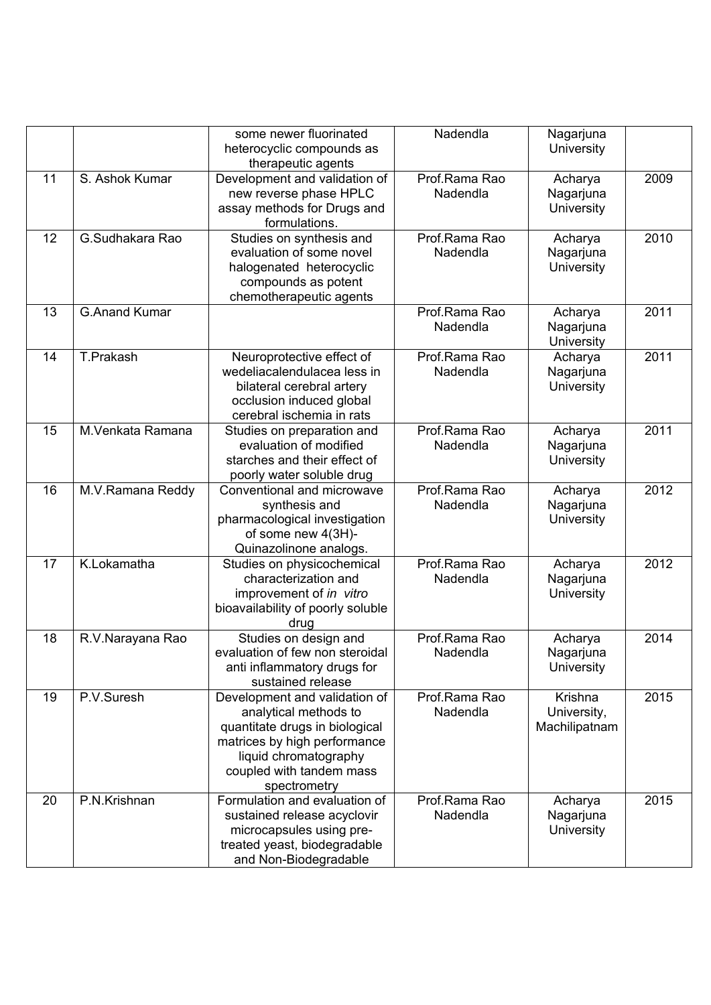|    |                      | some newer fluorinated                         | Nadendla      | Nagarjuna               |      |
|----|----------------------|------------------------------------------------|---------------|-------------------------|------|
|    |                      | heterocyclic compounds as                      |               | University              |      |
|    |                      | therapeutic agents                             |               |                         |      |
| 11 | S. Ashok Kumar       | Development and validation of                  | Prof.Rama Rao | Acharya                 | 2009 |
|    |                      | new reverse phase HPLC                         | Nadendla      | Nagarjuna               |      |
|    |                      | assay methods for Drugs and                    |               | University              |      |
|    |                      | formulations.                                  |               |                         |      |
| 12 | G.Sudhakara Rao      | Studies on synthesis and                       | Prof.Rama Rao | Acharya                 | 2010 |
|    |                      | evaluation of some novel                       | Nadendla      |                         |      |
|    |                      |                                                |               | Nagarjuna<br>University |      |
|    |                      | halogenated heterocyclic                       |               |                         |      |
|    |                      | compounds as potent<br>chemotherapeutic agents |               |                         |      |
| 13 | <b>G.Anand Kumar</b> |                                                | Prof.Rama Rao |                         | 2011 |
|    |                      |                                                |               | Acharya                 |      |
|    |                      |                                                | Nadendla      | Nagarjuna               |      |
|    |                      |                                                |               | University              |      |
| 14 | T.Prakash            | Neuroprotective effect of                      | Prof.Rama Rao | Acharya                 | 2011 |
|    |                      | wedeliacalendulacea less in                    | Nadendla      | Nagarjuna               |      |
|    |                      | bilateral cerebral artery                      |               | University              |      |
|    |                      | occlusion induced global                       |               |                         |      |
|    |                      | cerebral ischemia in rats                      |               |                         |      |
| 15 | M.Venkata Ramana     | Studies on preparation and                     | Prof.Rama Rao | Acharya                 | 2011 |
|    |                      | evaluation of modified                         | Nadendla      | Nagarjuna               |      |
|    |                      | starches and their effect of                   |               | University              |      |
|    |                      | poorly water soluble drug                      |               |                         |      |
| 16 | M.V.Ramana Reddy     | Conventional and microwave                     | Prof.Rama Rao | Acharya                 | 2012 |
|    |                      | synthesis and                                  | Nadendla      | Nagarjuna               |      |
|    |                      | pharmacological investigation                  |               | University              |      |
|    |                      | of some new 4(3H)-                             |               |                         |      |
|    |                      | Quinazolinone analogs.                         |               |                         |      |
| 17 | K.Lokamatha          | Studies on physicochemical                     | Prof.Rama Rao | Acharya                 | 2012 |
|    |                      | characterization and                           | Nadendla      | Nagarjuna               |      |
|    |                      | improvement of in vitro                        |               | University              |      |
|    |                      | bioavailability of poorly soluble              |               |                         |      |
|    |                      | drug                                           |               |                         |      |
| 18 | R.V.Narayana Rao     | Studies on design and                          | Prof.Rama Rao | Acharya                 | 2014 |
|    |                      | evaluation of few non steroidal                | Nadendla      | Nagarjuna               |      |
|    |                      | anti inflammatory drugs for                    |               | University              |      |
|    |                      | sustained release                              |               |                         |      |
| 19 | P.V.Suresh           | Development and validation of                  | Prof.Rama Rao | Krishna                 | 2015 |
|    |                      | analytical methods to                          | Nadendla      | University,             |      |
|    |                      | quantitate drugs in biological                 |               | Machilipatnam           |      |
|    |                      | matrices by high performance                   |               |                         |      |
|    |                      | liquid chromatography                          |               |                         |      |
|    |                      | coupled with tandem mass                       |               |                         |      |
|    |                      | spectrometry                                   |               |                         |      |
| 20 | P.N.Krishnan         | Formulation and evaluation of                  | Prof.Rama Rao | Acharya                 | 2015 |
|    |                      | sustained release acyclovir                    | Nadendla      | Nagarjuna               |      |
|    |                      | microcapsules using pre-                       |               | University              |      |
|    |                      | treated yeast, biodegradable                   |               |                         |      |
|    |                      | and Non-Biodegradable                          |               |                         |      |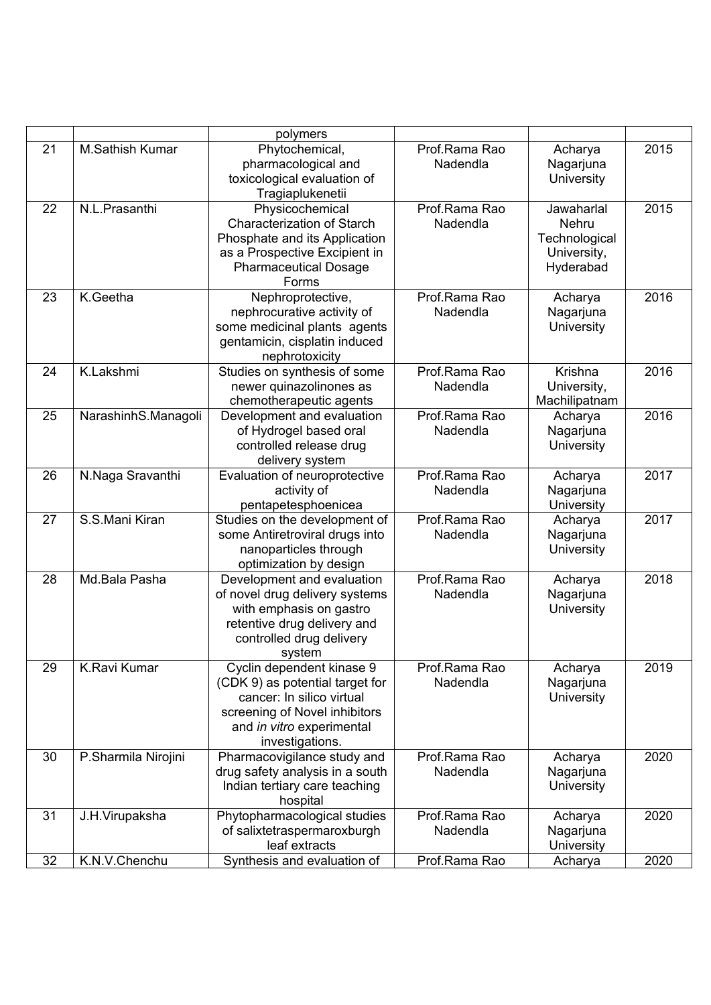|    |                        | polymers                                                                                                                                                                   |                           |                                                                  |      |
|----|------------------------|----------------------------------------------------------------------------------------------------------------------------------------------------------------------------|---------------------------|------------------------------------------------------------------|------|
| 21 | <b>M.Sathish Kumar</b> | Phytochemical,<br>pharmacological and<br>toxicological evaluation of<br>Tragiaplukenetii                                                                                   | Prof.Rama Rao<br>Nadendla | Acharya<br>Nagarjuna<br>University                               | 2015 |
| 22 | N.L.Prasanthi          | Physicochemical<br><b>Characterization of Starch</b><br>Phosphate and its Application<br>as a Prospective Excipient in<br><b>Pharmaceutical Dosage</b><br>Forms            | Prof.Rama Rao<br>Nadendla | Jawaharlal<br>Nehru<br>Technological<br>University,<br>Hyderabad | 2015 |
| 23 | K.Geetha               | Nephroprotective,<br>nephrocurative activity of<br>some medicinal plants agents<br>gentamicin, cisplatin induced<br>nephrotoxicity                                         | Prof.Rama Rao<br>Nadendla | Acharya<br>Nagarjuna<br>University                               | 2016 |
| 24 | K.Lakshmi              | Studies on synthesis of some<br>newer quinazolinones as<br>chemotherapeutic agents                                                                                         | Prof.Rama Rao<br>Nadendla | Krishna<br>University,<br>Machilipatnam                          | 2016 |
| 25 | NarashinhS.Managoli    | Development and evaluation<br>of Hydrogel based oral<br>controlled release drug<br>delivery system                                                                         | Prof.Rama Rao<br>Nadendla | Acharya<br>Nagarjuna<br>University                               | 2016 |
| 26 | N.Naga Sravanthi       | Evaluation of neuroprotective<br>activity of<br>pentapetesphoenicea                                                                                                        | Prof.Rama Rao<br>Nadendla | Acharya<br>Nagarjuna<br>University                               | 2017 |
| 27 | S.S.Mani Kiran         | Studies on the development of<br>some Antiretroviral drugs into<br>nanoparticles through<br>optimization by design                                                         | Prof.Rama Rao<br>Nadendla | Acharya<br>Nagarjuna<br>University                               | 2017 |
| 28 | Md.Bala Pasha          | Development and evaluation<br>of novel drug delivery systems<br>with emphasis on gastro<br>retentive drug delivery and<br>controlled drug delivery<br>system               | Prof.Rama Rao<br>Nadendla | Acharya<br>Nagarjuna<br>University                               | 2018 |
| 29 | <b>K.Ravi Kumar</b>    | Cyclin dependent kinase 9<br>(CDK 9) as potential target for<br>cancer: In silico virtual<br>screening of Novel inhibitors<br>and in vitro experimental<br>investigations. | Prof.Rama Rao<br>Nadendla | Acharya<br>Nagarjuna<br>University                               | 2019 |
| 30 | P.Sharmila Nirojini    | Pharmacovigilance study and<br>drug safety analysis in a south<br>Indian tertiary care teaching<br>hospital                                                                | Prof.Rama Rao<br>Nadendla | Acharya<br>Nagarjuna<br>University                               | 2020 |
| 31 | J.H.Virupaksha         | Phytopharmacological studies<br>of salixtetraspermaroxburgh<br>leaf extracts                                                                                               | Prof.Rama Rao<br>Nadendla | Acharya<br>Nagarjuna<br>University                               | 2020 |
| 32 | K.N.V.Chenchu          | Synthesis and evaluation of                                                                                                                                                | Prof.Rama Rao             | Acharya                                                          | 2020 |